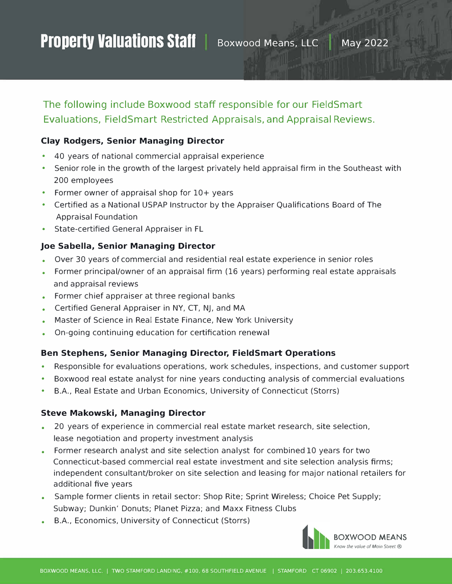# Property Valuations Staff | Boxwood Means, LLC | May 2022

# The following include Boxwood *staff* responsible for our FieldSmart Evaluations, FieldSmart Restricted Appraisals, and Appraisal Reviews.

## **Clay Rodgers, Senior Managing Director**

- 40 years of national commercial appraisal experience
- Senior role in the growth of the largest privately held appraisal firm in the Southeast with 200 employees
- Former owner of appraisal shop for 10+ years
- Certified as a National USPAP Instructor by the Appraiser Qualifications Board of The Appraisal Foundation
- State-certified General Appraiser in FL

### **Joe Sabella, Senior Managing Director**

- Over 30 years of commercial and residential real estate experience in senior roles
- Former principal/owner of an appraisal firm (16 years) performing real estate appraisals and appraisal reviews
- Former chief appraiser at three regional banks
- Certified General Appraiser in NY, CT, NJ, and MA
- Master of Science in Real Estate Finance, New York University
- On-going continuing education for certification renewal

#### **Ben Stephens, Senior Managing Director, FieldSmart Operations**

- Responsible for evaluations operations, work schedules, inspections, and customer support
- Boxwood real estate analyst for nine years conducting analysis of commercial evaluations
- B.A., Real Estate and Urban Economics, University of Connecticut (Storrs)

#### **Steve Makowski, Managing Director**

- 20 years of experience in commercial real estate market research, site selection, lease negotiation and property investment analysis
- Former research analyst and site selection analyst for combined 10 years for two Connecticut-based commercial real estate investment and site selection analysis firms; independent consultant/broker on site selection and leasing for major national retailers for additional five years
- Sample former clients in retail sector: Shop Rite; Sprint Wireless; Choice Pet Supply; Subway; Dunkin' Donuts; Planet Pizza; and Maxx Fitness Clubs
- B.A., Economics, University of Connecticut (Storrs)